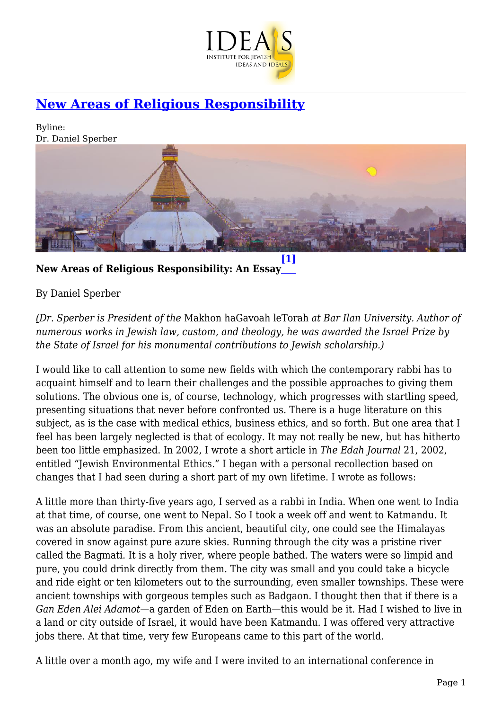

# **[New Areas of Religious Responsibility](https://www.jewishideas.org/article/new-areas-religious-responsibility)**

Byline: Dr. Daniel Sperber



**New Areas of Religious Responsibility: An Essay**

By Daniel Sperber

*(Dr. Sperber is President of the* Makhon haGavoah leTorah *at Bar Ilan University. Author of numerous works in Jewish law, custom, and theology, he was awarded the Israel Prize by the State of Israel for his monumental contributions to Jewish scholarship.)*

I would like to call attention to some new fields with which the contemporary rabbi has to acquaint himself and to learn their challenges and the possible approaches to giving them solutions. The obvious one is, of course, technology, which progresses with startling speed, presenting situations that never before confronted us. There is a huge literature on this subject, as is the case with medical ethics, business ethics, and so forth. But one area that I feel has been largely neglected is that of ecology. It may not really be new, but has hitherto been too little emphasized. In 2002, I wrote a short article in *The Edah Journal* 21, 2002, entitled "Jewish Environmental Ethics." I began with a personal recollection based on changes that I had seen during a short part of my own lifetime. I wrote as follows:

A little more than thirty-five years ago, I served as a rabbi in India. When one went to India at that time, of course, one went to Nepal. So I took a week off and went to Katmandu. It was an absolute paradise. From this ancient, beautiful city, one could see the Himalayas covered in snow against pure azure skies. Running through the city was a pristine river called the Bagmati. It is a holy river, where people bathed. The waters were so limpid and pure, you could drink directly from them. The city was small and you could take a bicycle and ride eight or ten kilometers out to the surrounding, even smaller townships. These were ancient townships with gorgeous temples such as Badgaon. I thought then that if there is a *Gan Eden Alei Adamot*—a garden of Eden on Earth—this would be it. Had I wished to live in a land or city outside of Israel, it would have been Katmandu. I was offered very attractive jobs there. At that time, very few Europeans came to this part of the world.

A little over a month ago, my wife and I were invited to an international conference in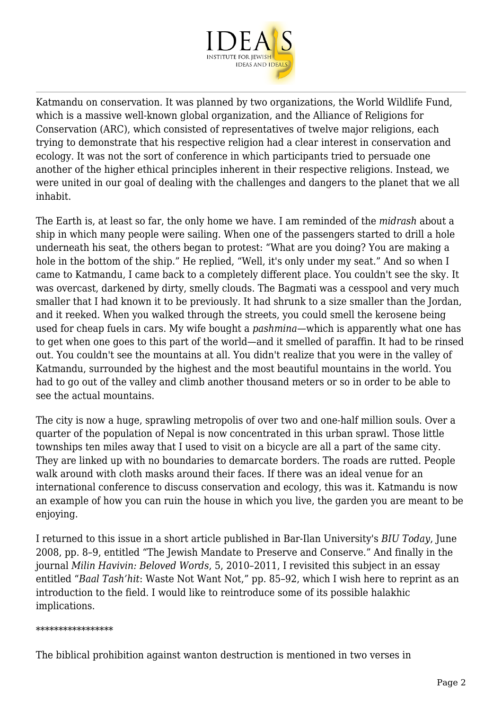

Katmandu on conservation. It was planned by two organizations, the World Wildlife Fund, which is a massive well-known global organization, and the Alliance of Religions for Conservation (ARC), which consisted of representatives of twelve major religions, each trying to demonstrate that his respective religion had a clear interest in conservation and ecology. It was not the sort of conference in which participants tried to persuade one another of the higher ethical principles inherent in their respective religions. Instead, we were united in our goal of dealing with the challenges and dangers to the planet that we all inhabit.

The Earth is, at least so far, the only home we have. I am reminded of the *midrash* about a ship in which many people were sailing. When one of the passengers started to drill a hole underneath his seat, the others began to protest: "What are you doing? You are making a hole in the bottom of the ship." He replied, "Well, it's only under my seat." And so when I came to Katmandu, I came back to a completely different place. You couldn't see the sky. It was overcast, darkened by dirty, smelly clouds. The Bagmati was a cesspool and very much smaller that I had known it to be previously. It had shrunk to a size smaller than the Jordan, and it reeked. When you walked through the streets, you could smell the kerosene being used for cheap fuels in cars. My wife bought a *pashmina*—which is apparently what one has to get when one goes to this part of the world—and it smelled of paraffin. It had to be rinsed out. You couldn't see the mountains at all. You didn't realize that you were in the valley of Katmandu, surrounded by the highest and the most beautiful mountains in the world. You had to go out of the valley and climb another thousand meters or so in order to be able to see the actual mountains.

The city is now a huge, sprawling metropolis of over two and one-half million souls. Over a quarter of the population of Nepal is now concentrated in this urban sprawl. Those little townships ten miles away that I used to visit on a bicycle are all a part of the same city. They are linked up with no boundaries to demarcate borders. The roads are rutted. People walk around with cloth masks around their faces. If there was an ideal venue for an international conference to discuss conservation and ecology, this was it. Katmandu is now an example of how you can ruin the house in which you live, the garden you are meant to be enjoying.

I returned to this issue in a short article published in Bar-Ilan University's *BIU Today*, June 2008, pp. 8–9, entitled "The Jewish Mandate to Preserve and Conserve." And finally in the journal *Milin Havivin: Beloved Words*, 5, 2010–2011, I revisited this subject in an essay entitled "*Baal Tash'hit*: Waste Not Want Not," pp. 85–92, which I wish here to reprint as an introduction to the field. I would like to reintroduce some of its possible halakhic implications.

#### \*\*\*\*\*\*\*\*\*\*\*\*\*\*\*\*\*

The biblical prohibition against wanton destruction is mentioned in two verses in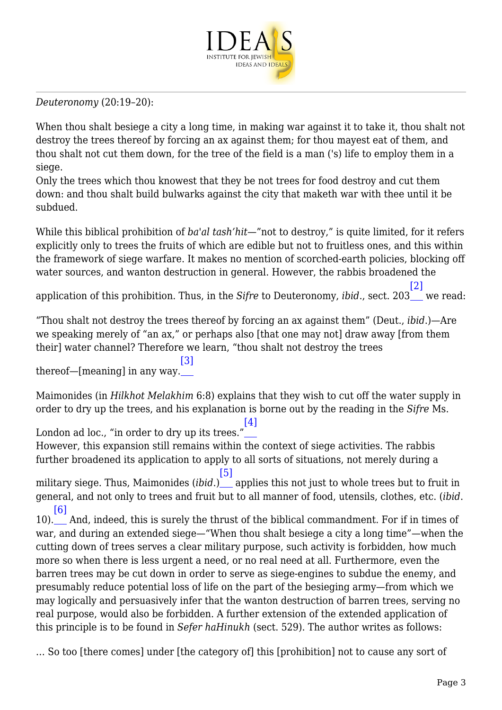

*Deuteronomy* (20:19–20):

When thou shalt besiege a city a long time, in making war against it to take it, thou shalt not destroy the trees thereof by forcing an ax against them; for thou mayest eat of them, and thou shalt not cut them down, for the tree of the field is a man ('s) life to employ them in a siege.

Only the trees which thou knowest that they be not trees for food destroy and cut them down: and thou shalt build bulwarks against the city that maketh war with thee until it be subdued.

While this biblical prohibition of *ba'al tash'hit*—"not to destroy," is quite limited, for it refers explicitly only to trees the fruits of which are edible but not to fruitless ones, and this within the framework of siege warfare. It makes no mention of scorched-earth policies, blocking off water sources, and wanton destruction in general. However, the rabbis broadened the

application of this prohibition. Thus, in the *Sifre* to Deuteronomy, *ibid*., sect. 203 [\[2\]](#page--1-0) we read:

"Thou shalt not destroy the trees thereof by forcing an ax against them" (Deut., *ibid*.)—Are we speaking merely of "an ax," or perhaps also [that one may not] draw away [from them their] water channel? Therefore we learn, "thou shalt not destroy the trees

thereof—[meaning] in any way. [\[3\]](#page--1-0)

Maimonides (in *Hilkhot Melakhim* 6:8) explains that they wish to cut off the water supply in order to dry up the trees, and his explanation is borne out by the reading in the *Sifre* Ms.

London ad loc., "in order to dry up its trees." [\[4\]](#page--1-0)

However, this expansion still remains within the context of siege activities. The rabbis further broadened its application to apply to all sorts of situations, not merely during a

military siege. Thus, Maimonides (*ibid*.)\_\_ applies this not just to whole trees but to fruit in [\[5\]](#page--1-0) general, and not only to trees and fruit but to all manner of food, utensils, clothes, etc. (*ibid*. [\[6\]](#page--1-0)

10). And, indeed, this is surely the thrust of the biblical commandment. For if in times of war, and during an extended siege—"When thou shalt besiege a city a long time"—when the cutting down of trees serves a clear military purpose, such activity is forbidden, how much more so when there is less urgent a need, or no real need at all. Furthermore, even the barren trees may be cut down in order to serve as siege-engines to subdue the enemy, and presumably reduce potential loss of life on the part of the besieging army—from which we may logically and persuasively infer that the wanton destruction of barren trees, serving no real purpose, would also be forbidden. A further extension of the extended application of this principle is to be found in *Sefer haHinukh* (sect. 529). The author writes as follows:

… So too [there comes] under [the category of] this [prohibition] not to cause any sort of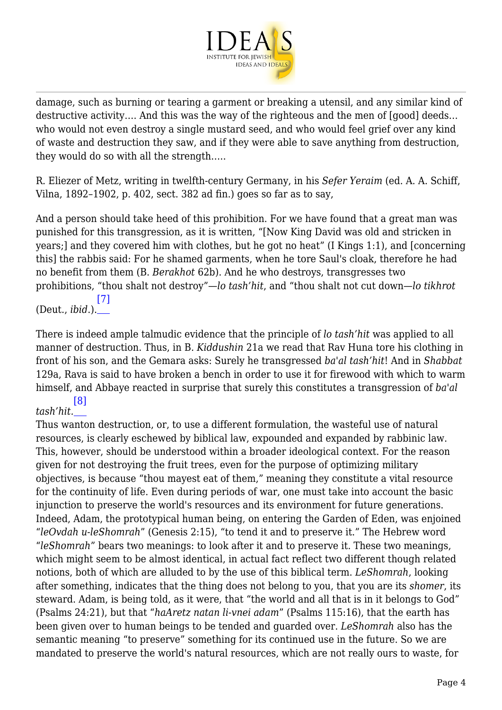

damage, such as burning or tearing a garment or breaking a utensil, and any similar kind of destructive activity…. And this was the way of the righteous and the men of [good] deeds… who would not even destroy a single mustard seed, and who would feel grief over any kind of waste and destruction they saw, and if they were able to save anything from destruction, they would do so with all the strength…..

R. Eliezer of Metz, writing in twelfth-century Germany, in his *Sefer Yeraim* (ed. A. A. Schiff, Vilna, 1892–1902, p. 402, sect. 382 ad fin.) goes so far as to say,

And a person should take heed of this prohibition. For we have found that a great man was punished for this transgression, as it is written, "[Now King David was old and stricken in years;] and they covered him with clothes, but he got no heat" (I Kings 1:1), and [concerning this] the rabbis said: For he shamed garments, when he tore Saul's cloak, therefore he had no benefit from them (B. *Berakhot* 62b). And he who destroys, transgresses two prohibitions, "thou shalt not destroy"—*lo tash'hit*, and "thou shalt not cut down—*lo tikhrot*

### (Deut., *ibid*.). [\[7\]](#page--1-0)

There is indeed ample talmudic evidence that the principle of *lo tash'hit* was applied to all manner of destruction. Thus, in B*. Kiddushin* 21a we read that Rav Huna tore his clothing in front of his son, and the Gemara asks: Surely he transgressed *ba'al tash'hit*! And in *Shabbat* 129a, Rava is said to have broken a bench in order to use it for firewood with which to warm himself, and Abbaye reacted in surprise that surely this constitutes a transgression of *ba'al* [\[8\]](#page--1-0)

### *tash'hit.*

Thus wanton destruction, or, to use a different formulation, the wasteful use of natural resources, is clearly eschewed by biblical law, expounded and expanded by rabbinic law. This, however, should be understood within a broader ideological context. For the reason given for not destroying the fruit trees, even for the purpose of optimizing military objectives, is because "thou mayest eat of them," meaning they constitute a vital resource for the continuity of life. Even during periods of war, one must take into account the basic injunction to preserve the world's resources and its environment for future generations. Indeed, Adam, the prototypical human being, on entering the Garden of Eden, was enjoined "*leOvdah u-leShomrah*" (Genesis 2:15), "to tend it and to preserve it." The Hebrew word "*leShomrah*" bears two meanings: to look after it and to preserve it. These two meanings, which might seem to be almost identical, in actual fact reflect two different though related notions, both of which are alluded to by the use of this biblical term. *LeShomrah*, looking after something, indicates that the thing does not belong to you, that you are its *shomer*, its steward. Adam, is being told, as it were, that "the world and all that is in it belongs to God" (Psalms 24:21), but that "*haAretz natan li-vnei adam*" (Psalms 115:16), that the earth has been given over to human beings to be tended and guarded over. *LeShomrah* also has the semantic meaning "to preserve" something for its continued use in the future. So we are mandated to preserve the world's natural resources, which are not really ours to waste, for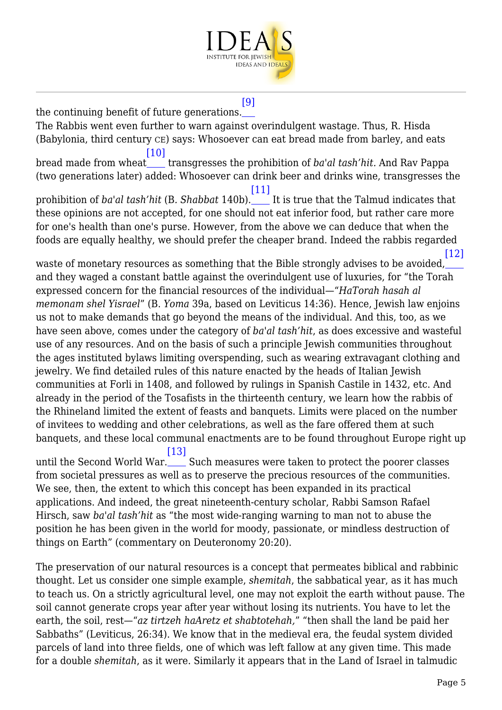

### [\[9\]](#page--1-0)

the continuing benefit of future generations. The Rabbis went even further to warn against overindulgent wastage. Thus, R. Hisda (Babylonia, third century CE) says: Whosoever can eat bread made from barley, and eats bread made from wheat\_\_\_\_ transgresses the prohibition of *ba'al tash'hit.* And Rav Pappa [\[10\]](#page--1-0) (two generations later) added: Whosoever can drink beer and drinks wine, transgresses the prohibition of *ba'al tash'hit* (B*. Shabbat* 140b). It is true that the Talmud indicates that  $[11]$ 

these opinions are not accepted, for one should not eat inferior food, but rather care more for one's health than one's purse. However, from the above we can deduce that when the foods are equally healthy, we should prefer the cheaper brand. Indeed the rabbis regarded

waste of monetary resources as something that the Bible strongly advises to be avoided, [\[12\]](#page--1-0) and they waged a constant battle against the overindulgent use of luxuries, for "the Torah expressed concern for the financial resources of the individual—"*HaTorah hasah al memonam shel Yisrael*" (B. *Yoma* 39a, based on Leviticus 14:36). Hence, Jewish law enjoins us not to make demands that go beyond the means of the individual. And this, too, as we have seen above, comes under the category of *ba'al tash'hit*, as does excessive and wasteful use of any resources. And on the basis of such a principle Jewish communities throughout the ages instituted bylaws limiting overspending, such as wearing extravagant clothing and jewelry. We find detailed rules of this nature enacted by the heads of Italian Jewish communities at Forli in 1408, and followed by rulings in Spanish Castile in 1432, etc. And already in the period of the Tosafists in the thirteenth century, we learn how the rabbis of the Rhineland limited the extent of feasts and banquets. Limits were placed on the number of invitees to wedding and other celebrations, as well as the fare offered them at such banquets, and these local communal enactments are to be found throughout Europe right up

until the Second World War. [\[13\]](#page--1-0) Such measures were taken to protect the poorer classes from societal pressures as well as to preserve the precious resources of the communities. We see, then, the extent to which this concept has been expanded in its practical applications. And indeed, the great nineteenth-century scholar, Rabbi Samson Rafael Hirsch, saw *ba'al tash'hit* as "the most wide-ranging warning to man not to abuse the position he has been given in the world for moody, passionate, or mindless destruction of things on Earth" (commentary on Deuteronomy 20:20).

The preservation of our natural resources is a concept that permeates biblical and rabbinic thought. Let us consider one simple example, *shemitah*, the sabbatical year, as it has much to teach us. On a strictly agricultural level, one may not exploit the earth without pause. The soil cannot generate crops year after year without losing its nutrients. You have to let the earth, the soil, rest—"*az tirtzeh haAretz et shabtotehah,*" "then shall the land be paid her Sabbaths" (Leviticus, 26:34). We know that in the medieval era, the feudal system divided parcels of land into three fields, one of which was left fallow at any given time. This made for a double *shemitah*, as it were. Similarly it appears that in the Land of Israel in talmudic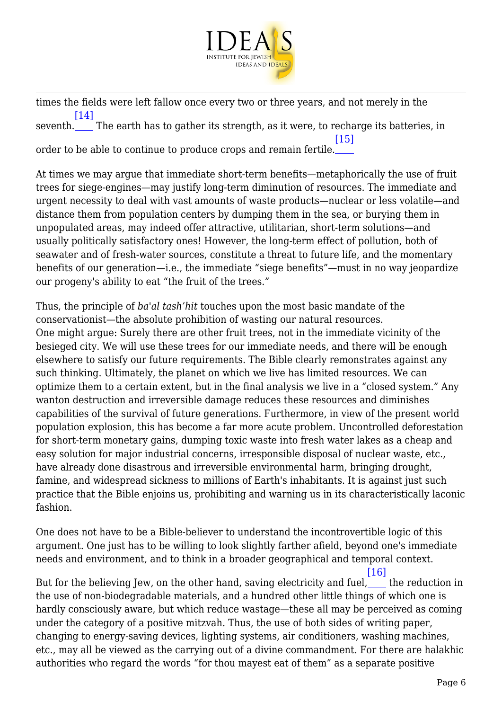

times the fields were left fallow once every two or three years, and not merely in the seventh. The earth has to gather its strength, as it were, to recharge its batteries, in [\[14\]](#page--1-0)

order to be able to continue to produce crops and remain fertile. [\[15\]](#page--1-0)

At times we may argue that immediate short-term benefits—metaphorically the use of fruit trees for siege-engines—may justify long-term diminution of resources. The immediate and urgent necessity to deal with vast amounts of waste products—nuclear or less volatile—and distance them from population centers by dumping them in the sea, or burying them in unpopulated areas, may indeed offer attractive, utilitarian, short-term solutions—and usually politically satisfactory ones! However, the long-term effect of pollution, both of seawater and of fresh-water sources, constitute a threat to future life, and the momentary benefits of our generation—i.e., the immediate "siege benefits"—must in no way jeopardize our progeny's ability to eat "the fruit of the trees."

Thus, the principle of *ba'al tash'hit* touches upon the most basic mandate of the conservationist—the absolute prohibition of wasting our natural resources. One might argue: Surely there are other fruit trees, not in the immediate vicinity of the besieged city. We will use these trees for our immediate needs, and there will be enough elsewhere to satisfy our future requirements. The Bible clearly remonstrates against any such thinking. Ultimately, the planet on which we live has limited resources. We can optimize them to a certain extent, but in the final analysis we live in a "closed system." Any wanton destruction and irreversible damage reduces these resources and diminishes capabilities of the survival of future generations. Furthermore, in view of the present world population explosion, this has become a far more acute problem. Uncontrolled deforestation for short-term monetary gains, dumping toxic waste into fresh water lakes as a cheap and easy solution for major industrial concerns, irresponsible disposal of nuclear waste, etc., have already done disastrous and irreversible environmental harm, bringing drought, famine, and widespread sickness to millions of Earth's inhabitants. It is against just such practice that the Bible enjoins us, prohibiting and warning us in its characteristically laconic fashion.

One does not have to be a Bible-believer to understand the incontrovertible logic of this argument. One just has to be willing to look slightly farther afield, beyond one's immediate needs and environment, and to think in a broader geographical and temporal context.

But for the believing Jew, on the other hand, saving electricity and fuel,\_\_\_\_ the reduction in [\[16\]](#page--1-0) the use of non-biodegradable materials, and a hundred other little things of which one is hardly consciously aware, but which reduce wastage—these all may be perceived as coming under the category of a positive mitzvah. Thus, the use of both sides of writing paper, changing to energy-saving devices, lighting systems, air conditioners, washing machines, etc., may all be viewed as the carrying out of a divine commandment. For there are halakhic authorities who regard the words "for thou mayest eat of them" as a separate positive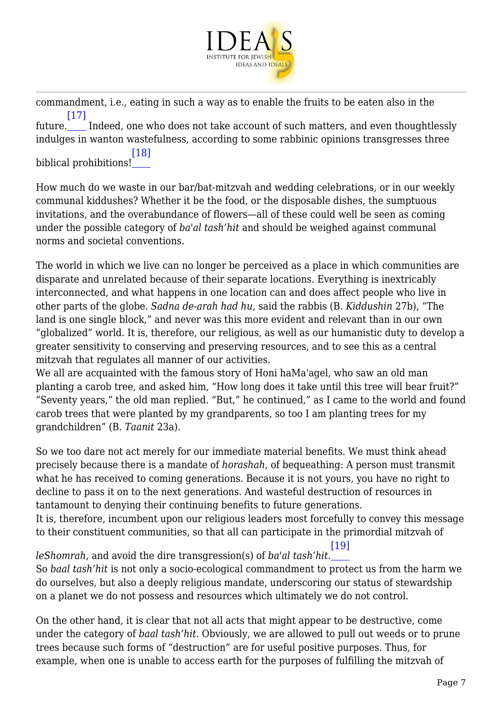

commandment, i.e., eating in such a way as to enable the fruits to be eaten also in the [\[17\]](#page--1-0)

future. Indeed, one who does not take account of such matters, and even thoughtlessly indulges in wanton wastefulness, according to some rabbinic opinions transgresses three [\[18\]](#page--1-0)

biblical prohibitions!

How much do we waste in our bar/bat-mitzvah and wedding celebrations, or in our weekly communal kiddushes? Whether it be the food, or the disposable dishes, the sumptuous invitations, and the overabundance of flowers—all of these could well be seen as coming under the possible category of *ba'al tash'hit* and should be weighed against communal norms and societal conventions.

The world in which we live can no longer be perceived as a place in which communities are disparate and unrelated because of their separate locations. Everything is inextricably interconnected, and what happens in one location can and does affect people who live in other parts of the globe. *Sadna de-arah had hu*, said the rabbis (B. *Kiddushin* 27b), "The land is one single block," and never was this more evident and relevant than in our own "globalized" world. It is, therefore, our religious, as well as our humanistic duty to develop a greater sensitivity to conserving and preserving resources, and to see this as a central mitzvah that regulates all manner of our activities.

We all are acquainted with the famous story of Honi haMa'agel, who saw an old man planting a carob tree, and asked him, "How long does it take until this tree will bear fruit?" "Seventy years," the old man replied. "But," he continued," as I came to the world and found carob trees that were planted by my grandparents, so too I am planting trees for my grandchildren" (B*. Taanit* 23a).

So we too dare not act merely for our immediate material benefits. We must think ahead precisely because there is a mandate of *horashah*, of bequeathing: A person must transmit what he has received to coming generations. Because it is not yours, you have no right to decline to pass it on to the next generations. And wasteful destruction of resources in tantamount to denying their continuing benefits to future generations. It is, therefore, incumbent upon our religious leaders most forcefully to convey this message

to their constituent communities, so that all can participate in the primordial mitzvah of [\[19\]](#page--1-0)

*leShomrah*, and avoid the dire transgression(s) of *ba'al tash'hit*. So *baal tash'hit* is not only a socio-ecological commandment to protect us from the harm we do ourselves, but also a deeply religious mandate, underscoring our status of stewardship on a planet we do not possess and resources which ultimately we do not control.

On the other hand, it is clear that not all acts that might appear to be destructive, come under the category of *baal tash'hit*. Obviously, we are allowed to pull out weeds or to prune trees because such forms of "destruction" are for useful positive purposes. Thus, for example, when one is unable to access earth for the purposes of fulfilling the mitzvah of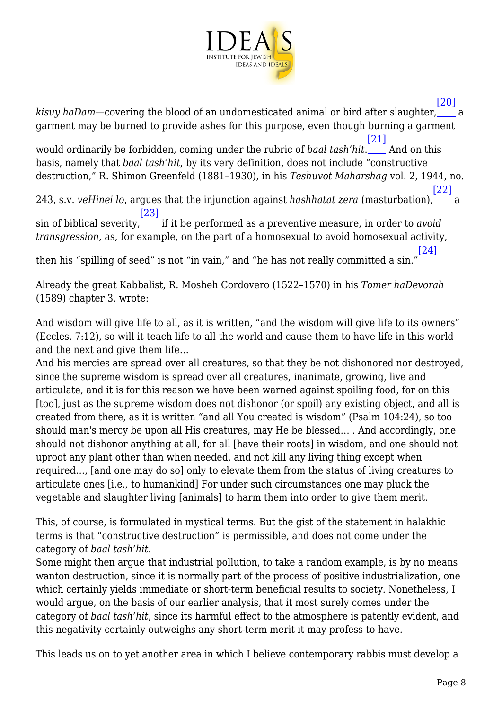

[\[20\]](#page--1-0)

k*isuy haDam—*covering the blood of an undomesticated animal or bird after slaughter,\_\_\_\_ a garment may be burned to provide ashes for this purpose, even though burning a garment would ordinarily be forbidden, coming under the rubric of *baal tash'hit*.\_\_\_\_ And on this [\[21\]](#page--1-0) basis, namely that *baal tash'hit*, by its very definition, does not include "constructive destruction," R. Shimon Greenfeld (1881–1930), in his *Teshuvot Maharshag* vol. 2, 1944, no. 243, s.v. *veHinei lo*, argues that the injunction against *hashhatat zera* (masturbation), a [\[22\]](#page--1-0) sin of biblical severity, if it be performed as a preventive measure, in order to *avoid* [\[23\]](#page--1-0) *transgression*, as, for example, on the part of a homosexual to avoid homosexual activity,

then his "spilling of seed" is not "in vain," and "he has not really committed a sin." [\[24\]](#page--1-0)

Already the great Kabbalist, R. Mosheh Cordovero (1522–1570) in his *Tomer haDevorah* (1589) chapter 3, wrote:

And wisdom will give life to all, as it is written, "and the wisdom will give life to its owners" (Eccles*.* 7:12), so will it teach life to all the world and cause them to have life in this world and the next and give them life…

And his mercies are spread over all creatures, so that they be not dishonored nor destroyed, since the supreme wisdom is spread over all creatures, inanimate, growing, live and articulate, and it is for this reason we have been warned against spoiling food, for on this [too], just as the supreme wisdom does not dishonor (or spoil) any existing object, and all is created from there, as it is written "and all You created is wisdom" (Psalm 104:24), so too should man's mercy be upon all His creatures, may He be blessed… . And accordingly, one should not dishonor anything at all, for all [have their roots] in wisdom, and one should not uproot any plant other than when needed, and not kill any living thing except when required…, [and one may do so] only to elevate them from the status of living creatures to articulate ones [i.e., to humankind] For under such circumstances one may pluck the vegetable and slaughter living [animals] to harm them into order to give them merit.

This, of course, is formulated in mystical terms. But the gist of the statement in halakhic terms is that "constructive destruction" is permissible, and does not come under the category of *baal tash'hit*.

Some might then argue that industrial pollution, to take a random example, is by no means wanton destruction, since it is normally part of the process of positive industrialization, one which certainly yields immediate or short-term beneficial results to society. Nonetheless, I would argue, on the basis of our earlier analysis, that it most surely comes under the category of *baal tash'hit*, since its harmful effect to the atmosphere is patently evident, and this negativity certainly outweighs any short-term merit it may profess to have.

This leads us on to yet another area in which I believe contemporary rabbis must develop a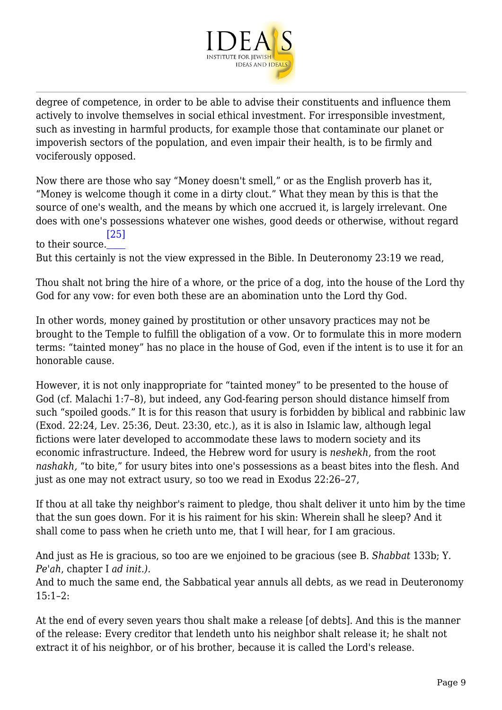

degree of competence, in order to be able to advise their constituents and influence them actively to involve themselves in social ethical investment. For irresponsible investment, such as investing in harmful products, for example those that contaminate our planet or impoverish sectors of the population, and even impair their health, is to be firmly and vociferously opposed.

Now there are those who say "Money doesn't smell," or as the English proverb has it, "Money is welcome though it come in a dirty clout." What they mean by this is that the source of one's wealth, and the means by which one accrued it, is largely irrelevant. One does with one's possessions whatever one wishes, good deeds or otherwise, without regard [\[25\]](#page--1-0)

to their source.

But this certainly is not the view expressed in the Bible. In Deuteronomy 23:19 we read,

Thou shalt not bring the hire of a whore, or the price of a dog, into the house of the Lord thy God for any vow: for even both these are an abomination unto the Lord thy God.

In other words, money gained by prostitution or other unsavory practices may not be brought to the Temple to fulfill the obligation of a vow. Or to formulate this in more modern terms: "tainted money" has no place in the house of God, even if the intent is to use it for an honorable cause.

However, it is not only inappropriate for "tainted money" to be presented to the house of God (cf. Malachi 1:7–8), but indeed, any God-fearing person should distance himself from such "spoiled goods." It is for this reason that usury is forbidden by biblical and rabbinic law (Exod. 22:24, Lev. 25:36, Deut. 23:30, etc.), as it is also in Islamic law, although legal fictions were later developed to accommodate these laws to modern society and its economic infrastructure. Indeed, the Hebrew word for usury is *neshekh*, from the root *nashakh,* "to bite," for usury bites into one's possessions as a beast bites into the flesh. And just as one may not extract usury, so too we read in Exodus 22:26–27,

If thou at all take thy neighbor's raiment to pledge, thou shalt deliver it unto him by the time that the sun goes down. For it is his raiment for his skin: Wherein shall he sleep? And it shall come to pass when he crieth unto me, that I will hear, for I am gracious.

And just as He is gracious, so too are we enjoined to be gracious (see B*. Shabbat* 133b; Y*. Pe'ah*, chapter I *ad init.).*

And to much the same end, the Sabbatical year annuls all debts, as we read in Deuteronomy 15:1–2:

At the end of every seven years thou shalt make a release [of debts]. And this is the manner of the release: Every creditor that lendeth unto his neighbor shalt release it; he shalt not extract it of his neighbor, or of his brother, because it is called the Lord's release.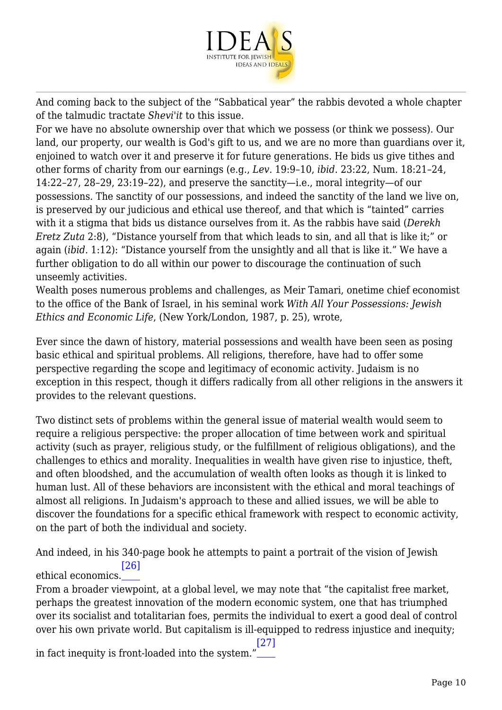

And coming back to the subject of the "Sabbatical year" the rabbis devoted a whole chapter of the talmudic tractate *Shevi'it* to this issue.

For we have no absolute ownership over that which we possess (or think we possess). Our land, our property, our wealth is God's gift to us, and we are no more than guardians over it, enjoined to watch over it and preserve it for future generations. He bids us give tithes and other forms of charity from our earnings (e.g., *Lev*. 19:9–10, *ibid*. 23:22, Num*.* 18:21–24, 14:22–27, 28–29, 23:19–22), and preserve the sanctity—i.e., moral integrity—of our possessions. The sanctity of our possessions, and indeed the sanctity of the land we live on, is preserved by our judicious and ethical use thereof, and that which is "tainted" carries with it a stigma that bids us distance ourselves from it. As the rabbis have said (*Derekh Eretz Zuta* 2:8), "Distance yourself from that which leads to sin, and all that is like it;" or again (*ibid*. 1:12): "Distance yourself from the unsightly and all that is like it." We have a further obligation to do all within our power to discourage the continuation of such unseemly activities.

Wealth poses numerous problems and challenges, as Meir Tamari, onetime chief economist to the office of the Bank of Israel, in his seminal work *With All Your Possessions: Jewish Ethics and Economic Life*, (New York/London, 1987, p. 25), wrote,

Ever since the dawn of history, material possessions and wealth have been seen as posing basic ethical and spiritual problems. All religions, therefore, have had to offer some perspective regarding the scope and legitimacy of economic activity. Judaism is no exception in this respect, though it differs radically from all other religions in the answers it provides to the relevant questions.

Two distinct sets of problems within the general issue of material wealth would seem to require a religious perspective: the proper allocation of time between work and spiritual activity (such as prayer, religious study, or the fulfillment of religious obligations), and the challenges to ethics and morality. Inequalities in wealth have given rise to injustice, theft, and often bloodshed, and the accumulation of wealth often looks as though it is linked to human lust. All of these behaviors are inconsistent with the ethical and moral teachings of almost all religions. In Judaism's approach to these and allied issues, we will be able to discover the foundations for a specific ethical framework with respect to economic activity, on the part of both the individual and society.

And indeed, in his 340-page book he attempts to paint a portrait of the vision of Jewish

#### ethical economics. [\[26\]](#page--1-0)

From a broader viewpoint, at a global level, we may note that "the capitalist free market, perhaps the greatest innovation of the modern economic system, one that has triumphed over its socialist and totalitarian foes, permits the individual to exert a good deal of control over his own private world. But capitalism is ill-equipped to redress injustice and inequity;

in fact inequity is front-loaded into the system." [\[27\]](#page--1-0)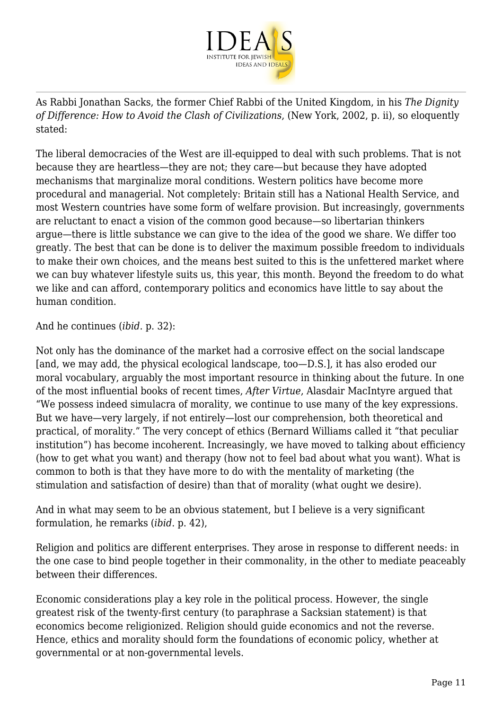

As Rabbi Jonathan Sacks, the former Chief Rabbi of the United Kingdom, in his *The Dignity of Difference: How to Avoid the Clash of Civilizations*, (New York, 2002, p. ii), so eloquently stated:

The liberal democracies of the West are ill-equipped to deal with such problems. That is not because they are heartless—they are not; they care—but because they have adopted mechanisms that marginalize moral conditions. Western politics have become more procedural and managerial. Not completely: Britain still has a National Health Service, and most Western countries have some form of welfare provision. But increasingly, governments are reluctant to enact a vision of the common good because—so libertarian thinkers argue—there is little substance we can give to the idea of the good we share. We differ too greatly. The best that can be done is to deliver the maximum possible freedom to individuals to make their own choices, and the means best suited to this is the unfettered market where we can buy whatever lifestyle suits us, this year, this month. Beyond the freedom to do what we like and can afford, contemporary politics and economics have little to say about the human condition.

And he continues (*ibid*. p. 32):

Not only has the dominance of the market had a corrosive effect on the social landscape [and, we may add, the physical ecological landscape, too—D.S.], it has also eroded our moral vocabulary, arguably the most important resource in thinking about the future. In one of the most influential books of recent times, *After Virtue*, Alasdair MacIntyre argued that "We possess indeed simulacra of morality, we continue to use many of the key expressions. But we have—very largely, if not entirely—lost our comprehension, both theoretical and practical, of morality." The very concept of ethics (Bernard Williams called it "that peculiar institution") has become incoherent. Increasingly, we have moved to talking about efficiency (how to get what you want) and therapy (how not to feel bad about what you want). What is common to both is that they have more to do with the mentality of marketing (the stimulation and satisfaction of desire) than that of morality (what ought we desire).

And in what may seem to be an obvious statement, but I believe is a very significant formulation, he remarks (*ibid*. p. 42),

Religion and politics are different enterprises. They arose in response to different needs: in the one case to bind people together in their commonality, in the other to mediate peaceably between their differences.

Economic considerations play a key role in the political process. However, the single greatest risk of the twenty-first century (to paraphrase a Sacksian statement) is that economics become religionized. Religion should guide economics and not the reverse. Hence, ethics and morality should form the foundations of economic policy, whether at governmental or at non-governmental levels.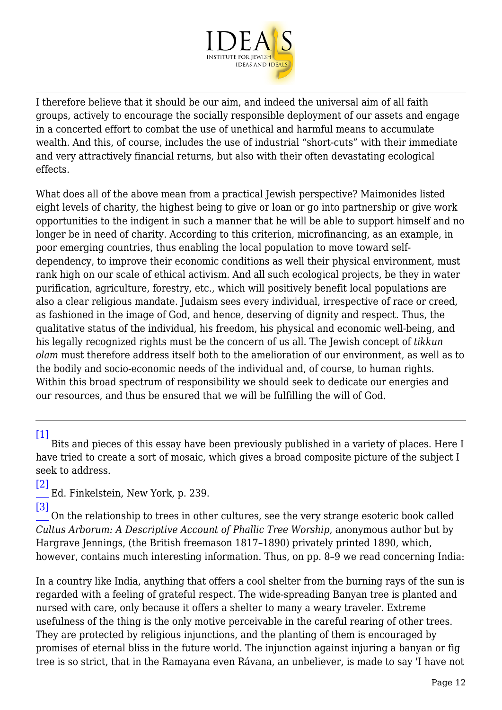

I therefore believe that it should be our aim, and indeed the universal aim of all faith groups, actively to encourage the socially responsible deployment of our assets and engage in a concerted effort to combat the use of unethical and harmful means to accumulate wealth. And this, of course, includes the use of industrial "short-cuts" with their immediate and very attractively financial returns, but also with their often devastating ecological effects.

What does all of the above mean from a practical Jewish perspective? Maimonides listed eight levels of charity, the highest being to give or loan or go into partnership or give work opportunities to the indigent in such a manner that he will be able to support himself and no longer be in need of charity. According to this criterion, microfinancing, as an example, in poor emerging countries, thus enabling the local population to move toward selfdependency, to improve their economic conditions as well their physical environment, must rank high on our scale of ethical activism. And all such ecological projects, be they in water purification, agriculture, forestry, etc., which will positively benefit local populations are also a clear religious mandate. Judaism sees every individual, irrespective of race or creed, as fashioned in the image of God, and hence, deserving of dignity and respect. Thus, the qualitative status of the individual, his freedom, his physical and economic well-being, and his legally recognized rights must be the concern of us all. The Jewish concept of *tikkun olam* must therefore address itself both to the amelioration of our environment, as well as to the bodily and socio-economic needs of the individual and, of course, to human rights. Within this broad spectrum of responsibility we should seek to dedicate our energies and our resources, and thus be ensured that we will be fulfilling the will of God.

 $[1]$ 

Bits and pieces of this essay have been previously published in a variety of places. Here I have tried to create a sort of mosaic, which gives a broad composite picture of the subject I seek to address.

[\[2\]](#page--1-0) Ed. Finkelstein, New York, p. 239.

[\[3\]](#page--1-0)

On the relationship to trees in other cultures, see the very strange esoteric book called *Cultus Arborum: A Descriptive Account of Phallic Tree Worship*, anonymous author but by Hargrave Jennings, (the British freemason 1817–1890) privately printed 1890, which, however, contains much interesting information. Thus, on pp. 8-9 we read concerning India:

In a country like India, anything that offers a cool shelter from the burning rays of the sun is regarded with a feeling of grateful respect. The wide-spreading Banyan tree is planted and nursed with care, only because it offers a shelter to many a weary traveler. Extreme usefulness of the thing is the only motive perceivable in the careful rearing of other trees. They are protected by religious injunctions, and the planting of them is encouraged by promises of eternal bliss in the future world. The injunction against injuring a banyan or fig tree is so strict, that in the Ramayana even Rávana, an unbeliever, is made to say 'I have not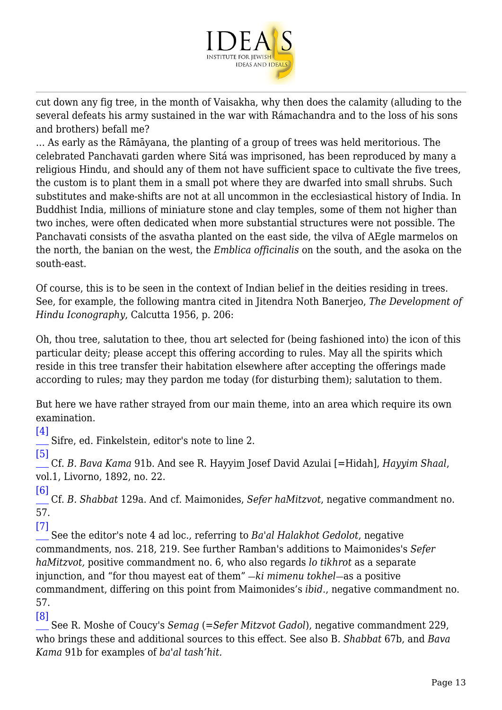

cut down any fig tree, in the month of Vaisakha, why then does the calamity (alluding to the several defeats his army sustained in the war with Rámachandra and to the loss of his sons and brothers) befall me?

… As early as the Rāmāyana, the planting of a group of trees was held meritorious. The celebrated Panchavati garden where Sitá was imprisoned, has been reproduced by many a religious Hindu, and should any of them not have sufficient space to cultivate the five trees, the custom is to plant them in a small pot where they are dwarfed into small shrubs. Such substitutes and make-shifts are not at all uncommon in the ecclesiastical history of India. In Buddhist India, millions of miniature stone and clay temples, some of them not higher than two inches, were often dedicated when more substantial structures were not possible. The Panchavati consists of the asvatha planted on the east side, the vilva of AEgle marmelos on the north, the banian on the west, the *Emblica officinalis* on the south, and the asoka on the south-east.

Of course, this is to be seen in the context of Indian belief in the deities residing in trees. See, for example, the following mantra cited in Jitendra Noth Banerjeo, *The Development of Hindu Iconography*, Calcutta 1956, p. 206:

Oh, thou tree, salutation to thee, thou art selected for (being fashioned into) the icon of this particular deity; please accept this offering according to rules. May all the spirits which reside in this tree transfer their habitation elsewhere after accepting the offerings made according to rules; may they pardon me today (for disturbing them); salutation to them.

But here we have rather strayed from our main theme, into an area which require its own examination.

[\[4\]](#page--1-0) Sifre, ed. Finkelstein, editor's note to line 2.

[\[5\]](#page--1-0)

Cf. *B. Bava Kama* 91b. And see R. Hayyim Josef David Azulai [=Hidah], *Hayyim Shaal*, vol.1, Livorno, 1892, no. 22.

[\[6\]](#page--1-0) Cf. *B. Shabbat* 129a. And cf. Maimonides, *Sefer haMitzvot*, negative commandment no. 57.

[\[7\]](#page--1-0)

See the editor's note 4 ad loc., referring to *Ba'al Halakhot Gedolot*, negative commandments, nos. 218, 219. See further Ramban's additions to Maimonides's *Sefer haMitzvot,* positive commandment no. 6, who also regards *lo tikhrot* as a separate injunction, and "for thou mayest eat of them" —*ki mimenu tokhel*—as a positive commandment, differing on this point from Maimonides's *ibid*., negative commandment no. 57.

[\[8\]](#page--1-0) See R. Moshe of Coucy's *Semag* (=*Sefer Mitzvot Gadol*), negative commandment 229, who brings these and additional sources to this effect. See also B*. Shabbat* 67b, and *Bava Kama* 91b for examples of *ba'al tash'hit.*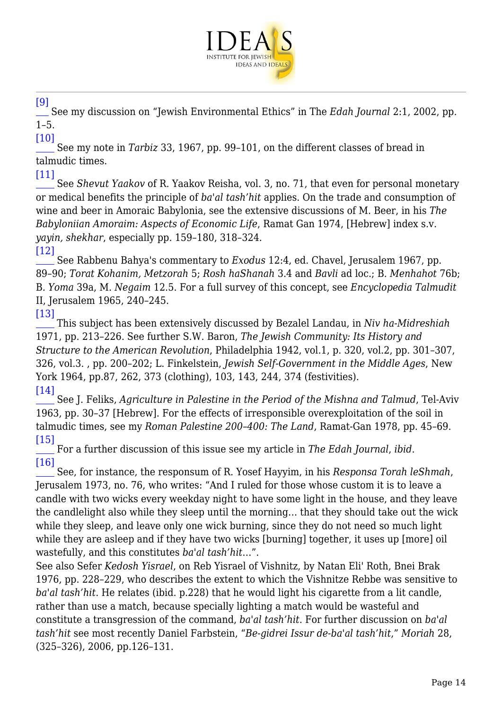

[\[9\]](#page--1-0)

See my discussion on "Jewish Environmental Ethics" in The *Edah Journal* 2:1, 2002, pp.  $1 - 5$ .

[\[10\]](#page--1-0)

See my note in *Tarbiz* 33, 1967, pp. 99–101, on the different classes of bread in talmudic times.

[\[11\]](#page--1-0)

See *Shevut Yaakov* of R. Yaakov Reisha, vol. 3, no. 71, that even for personal monetary or medical benefits the principle of *ba'al tash'hit* applies. On the trade and consumption of wine and beer in Amoraic Babylonia, see the extensive discussions of M. Beer, in his *The Babyloniian Amoraim: Aspects of Economic Life*, Ramat Gan 1974, [Hebrew] index s.v. *yayin, shekhar*, especially pp. 159–180, 318–324.

[\[12\]](#page--1-0)

See Rabbenu Bahya's commentary to *Exodus* 12:4, ed. Chavel, Jerusalem 1967, pp. 89–90; *Torat Kohanim, Metzorah* 5; *Rosh haShanah* 3.4 and *Bavli* ad loc.; B*. Menhahot* 76b; B*. Yoma* 39a, M. *Negaim* 12.5. For a full survey of this concept, see *Encyclopedia Talmudit* II, Jerusalem 1965, 240–245.

[\[13\]](#page--1-0)

This subject has been extensively discussed by Bezalel Landau, in *Niv ha-Midreshiah* 1971, pp. 213–226. See further S.W. Baron, *The Jewish Community: Its History and Structure to the American Revolution*, Philadelphia 1942, vol.1, p. 320, vol.2, pp. 301–307, 326, vol.3. , pp. 200–202; L. Finkelstein, *Jewish Self-Government in the Middle Ages*, New York 1964, pp.87, 262, 373 (clothing), 103, 143, 244, 374 (festivities).  $[14]$ 

See J. Feliks, *Agriculture in Palestine in the Period of the Mishna and Talmud*, Tel-Aviv 1963, pp. 30–37 [Hebrew]. For the effects of irresponsible overexploitation of the soil in talmudic times, see my *Roman Palestine 200*–*400: The Land*, Ramat-Gan 1978, pp. 45–69. [\[15\]](#page--1-0)

For a further discussion of this issue see my article in *The Edah Journal*, *ibid*. [\[16\]](#page--1-0)

See, for instance, the responsum of R. Yosef Hayyim, in his *Responsa Torah leShmah*, Jerusalem 1973, no. 76, who writes: "And I ruled for those whose custom it is to leave a candle with two wicks every weekday night to have some light in the house, and they leave the candlelight also while they sleep until the morning… that they should take out the wick while they sleep, and leave only one wick burning, since they do not need so much light while they are asleep and if they have two wicks [burning] together, it uses up [more] oil wastefully, and this constitutes *ba'al tash'hit*…".

See also Sefer *Kedosh Yisrael*, on Reb Yisrael of Vishnitz, by Natan Eli' Roth, Bnei Brak 1976, pp. 228–229, who describes the extent to which the Vishnitze Rebbe was sensitive to *ba'al tash'hit*. He relates (ibid. p.228) that he would light his cigarette from a lit candle, rather than use a match, because specially lighting a match would be wasteful and constitute a transgression of the command, *ba'al tash'hit*. For further discussion on *ba'al tash'hit* see most recently Daniel Farbstein, "*Be-gidrei Issur de-ba'al tash'hit*," *Moriah* 28, (325–326), 2006, pp.126–131.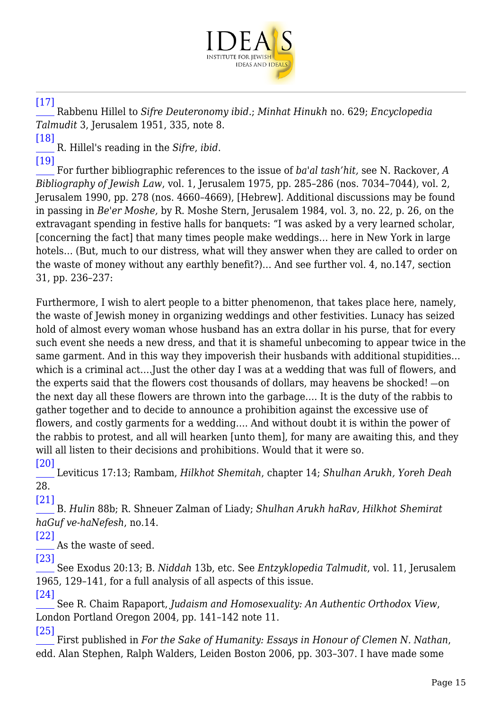

## [\[17\]](#page--1-0)

Rabbenu Hillel to *Sifre Deuteronomy ibid*.; *Minhat Hinukh* no. 629; *Encyclopedia Talmudit* 3, Jerusalem 1951, 335, note 8.

[\[18\]](#page--1-0) R. Hillel's reading in the *Sifre*, *ibid*.

[\[19\]](#page--1-0) For further bibliographic references to the issue of *ba'al tash'hit,* see N. Rackover, *A Bibliography of Jewish Law*, vol. 1, Jerusalem 1975, pp. 285–286 (nos. 7034–7044), vol. 2, Jerusalem 1990, pp. 278 (nos. 4660–4669), [Hebrew]. Additional discussions may be found in passing in *Be'er Moshe,* by R. Moshe Stern, Jerusalem 1984, vol. 3, no. 22, p. 26, on the extravagant spending in festive halls for banquets: "I was asked by a very learned scholar, [concerning the fact] that many times people make weddings… here in New York in large hotels… (But, much to our distress, what will they answer when they are called to order on the waste of money without any earthly benefit?)… And see further vol. 4, no.147, section 31, pp. 236–237:

Furthermore, I wish to alert people to a bitter phenomenon, that takes place here, namely, the waste of Jewish money in organizing weddings and other festivities. Lunacy has seized hold of almost every woman whose husband has an extra dollar in his purse, that for every such event she needs a new dress, and that it is shameful unbecoming to appear twice in the same garment. And in this way they impoverish their husbands with additional stupidities… which is a criminal act….Just the other day I was at a wedding that was full of flowers, and the experts said that the flowers cost thousands of dollars, may heavens be shocked! —on the next day all these flowers are thrown into the garbage…. It is the duty of the rabbis to gather together and to decide to announce a prohibition against the excessive use of flowers, and costly garments for a wedding…. And without doubt it is within the power of the rabbis to protest, and all will hearken [unto them], for many are awaiting this, and they will all listen to their decisions and prohibitions. Would that it were so.

[\[20\]](#page--1-0) Leviticus 17:13; Rambam, *Hilkhot Shemitah*, chapter 14; *Shulhan Arukh, Yoreh Deah* 28.

[\[21\]](#page--1-0)

B. *Hulin* 88b; R. Shneuer Zalman of Liady; *Shulhan Arukh haRav, Hilkhot Shemirat haGuf ve-haNefesh*, no.14.

[\[22\]](#page--1-0) As the waste of seed.

[\[23\]](#page--1-0)

See Exodus 20:13; B*. Niddah* 13b, etc. See *Entzyklopedia Talmudit*, vol. 11, Jerusalem 1965, 129–141, for a full analysis of all aspects of this issue.

[\[24\]](#page--1-0) See R. Chaim Rapaport, *Judaism and Homosexuality: An Authentic Orthodox View*, London Portland Oregon 2004, pp. 141–142 note 11.

[\[25\]](#page--1-0) First published in *For the Sake of Humanity: Essays in Honour of Clemen N. Nathan*, edd. Alan Stephen, Ralph Walders, Leiden Boston 2006, pp. 303–307. I have made some